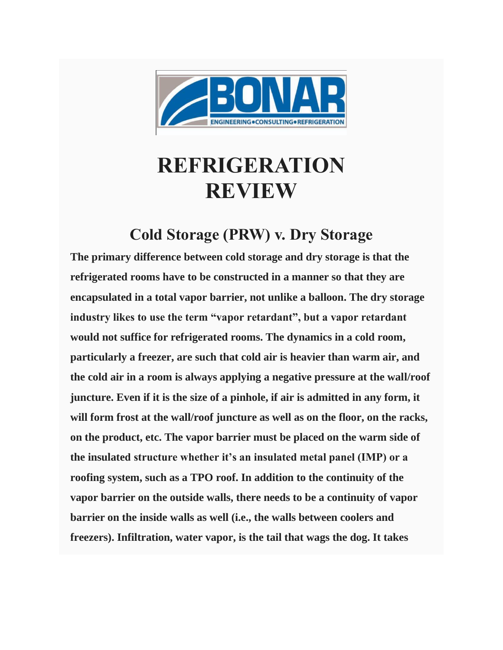

## **REFRIGERATION REVIEW**

## **Cold Storage (PRW) v. Dry Storage**

**The primary difference between cold storage and dry storage is that the refrigerated rooms have to be constructed in a manner so that they are encapsulated in a total vapor barrier, not unlike a balloon. The dry storage industry likes to use the term "vapor retardant", but a vapor retardant would not suffice for refrigerated rooms. The dynamics in a cold room, particularly a freezer, are such that cold air is heavier than warm air, and the cold air in a room is always applying a negative pressure at the wall/roof juncture. Even if it is the size of a pinhole, if air is admitted in any form, it will form frost at the wall/roof juncture as well as on the floor, on the racks, on the product, etc. The vapor barrier must be placed on the warm side of the insulated structure whether it's an insulated metal panel (IMP) or a roofing system, such as a TPO roof. In addition to the continuity of the vapor barrier on the outside walls, there needs to be a continuity of vapor barrier on the inside walls as well (i.e., the walls between coolers and freezers). Infiltration, water vapor, is the tail that wags the dog. It takes**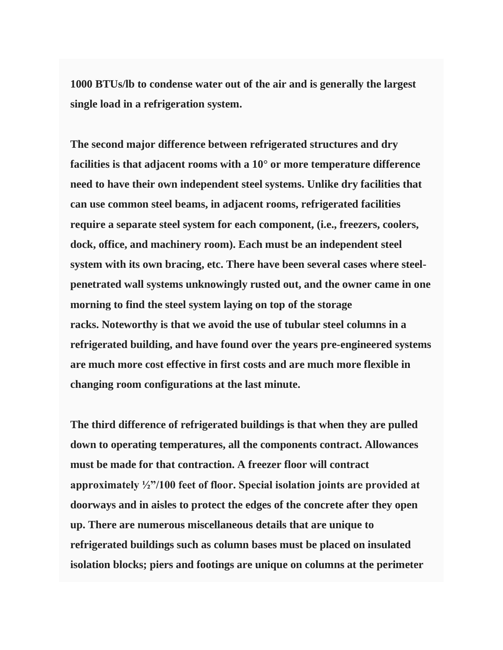**1000 BTUs/lb to condense water out of the air and is generally the largest single load in a refrigeration system.**

**The second major difference between refrigerated structures and dry facilities is that adjacent rooms with a 10° or more temperature difference need to have their own independent steel systems. Unlike dry facilities that can use common steel beams, in adjacent rooms, refrigerated facilities require a separate steel system for each component, (i.e., freezers, coolers, dock, office, and machinery room). Each must be an independent steel system with its own bracing, etc. There have been several cases where steelpenetrated wall systems unknowingly rusted out, and the owner came in one morning to find the steel system laying on top of the storage racks. Noteworthy is that we avoid the use of tubular steel columns in a refrigerated building, and have found over the years pre-engineered systems are much more cost effective in first costs and are much more flexible in changing room configurations at the last minute.**

**The third difference of refrigerated buildings is that when they are pulled down to operating temperatures, all the components contract. Allowances must be made for that contraction. A freezer floor will contract approximately ½"/100 feet of floor. Special isolation joints are provided at doorways and in aisles to protect the edges of the concrete after they open up. There are numerous miscellaneous details that are unique to refrigerated buildings such as column bases must be placed on insulated isolation blocks; piers and footings are unique on columns at the perimeter**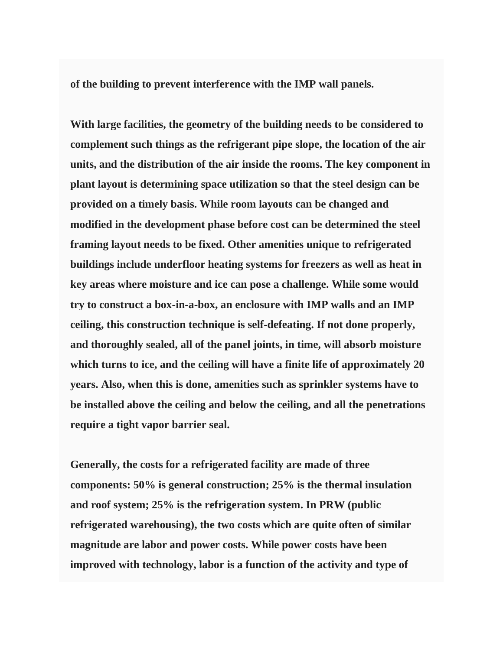**of the building to prevent interference with the IMP wall panels.**

**With large facilities, the geometry of the building needs to be considered to complement such things as the refrigerant pipe slope, the location of the air units, and the distribution of the air inside the rooms. The key component in plant layout is determining space utilization so that the steel design can be provided on a timely basis. While room layouts can be changed and modified in the development phase before cost can be determined the steel framing layout needs to be fixed. Other amenities unique to refrigerated buildings include underfloor heating systems for freezers as well as heat in key areas where moisture and ice can pose a challenge. While some would try to construct a box-in-a-box, an enclosure with IMP walls and an IMP ceiling, this construction technique is self-defeating. If not done properly, and thoroughly sealed, all of the panel joints, in time, will absorb moisture which turns to ice, and the ceiling will have a finite life of approximately 20 years. Also, when this is done, amenities such as sprinkler systems have to be installed above the ceiling and below the ceiling, and all the penetrations require a tight vapor barrier seal.**

**Generally, the costs for a refrigerated facility are made of three components: 50% is general construction; 25% is the thermal insulation and roof system; 25% is the refrigeration system. In PRW (public refrigerated warehousing), the two costs which are quite often of similar magnitude are labor and power costs. While power costs have been improved with technology, labor is a function of the activity and type of**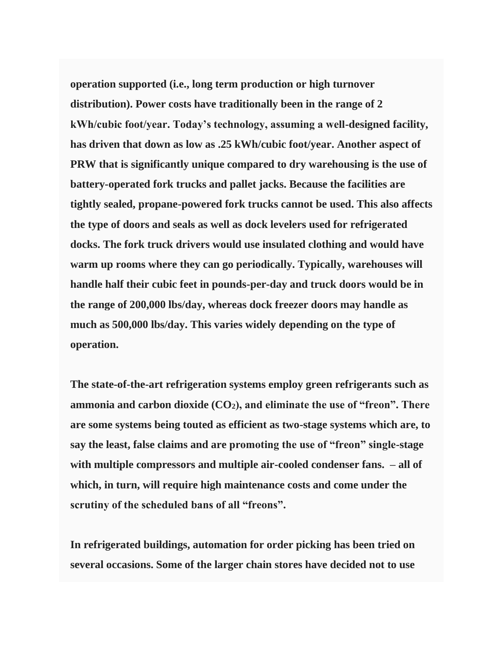**operation supported (i.e., long term production or high turnover distribution). Power costs have traditionally been in the range of 2 kWh/cubic foot/year. Today's technology, assuming a well-designed facility, has driven that down as low as .25 kWh/cubic foot/year. Another aspect of PRW that is significantly unique compared to dry warehousing is the use of battery-operated fork trucks and pallet jacks. Because the facilities are tightly sealed, propane-powered fork trucks cannot be used. This also affects the type of doors and seals as well as dock levelers used for refrigerated docks. The fork truck drivers would use insulated clothing and would have warm up rooms where they can go periodically. Typically, warehouses will handle half their cubic feet in pounds-per-day and truck doors would be in the range of 200,000 lbs/day, whereas dock freezer doors may handle as much as 500,000 lbs/day. This varies widely depending on the type of operation.**

**The state-of-the-art refrigeration systems employ green refrigerants such as ammonia and carbon dioxide (CO2), and eliminate the use of "freon". There are some systems being touted as efficient as two-stage systems which are, to say the least, false claims and are promoting the use of "freon" single-stage with multiple compressors and multiple air-cooled condenser fans. – all of which, in turn, will require high maintenance costs and come under the scrutiny of the scheduled bans of all "freons".**

**In refrigerated buildings, automation for order picking has been tried on several occasions. Some of the larger chain stores have decided not to use**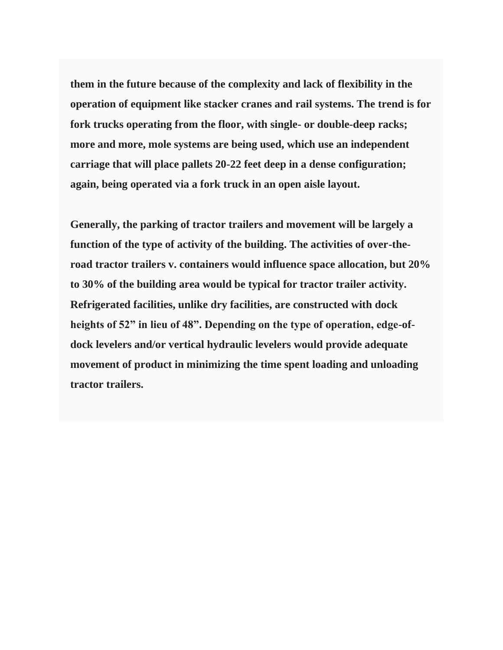**them in the future because of the complexity and lack of flexibility in the operation of equipment like stacker cranes and rail systems. The trend is for fork trucks operating from the floor, with single- or double-deep racks; more and more, mole systems are being used, which use an independent carriage that will place pallets 20-22 feet deep in a dense configuration; again, being operated via a fork truck in an open aisle layout.**

**Generally, the parking of tractor trailers and movement will be largely a function of the type of activity of the building. The activities of over-theroad tractor trailers v. containers would influence space allocation, but 20% to 30% of the building area would be typical for tractor trailer activity. Refrigerated facilities, unlike dry facilities, are constructed with dock heights of 52" in lieu of 48". Depending on the type of operation, edge-ofdock levelers and/or vertical hydraulic levelers would provide adequate movement of product in minimizing the time spent loading and unloading tractor trailers.**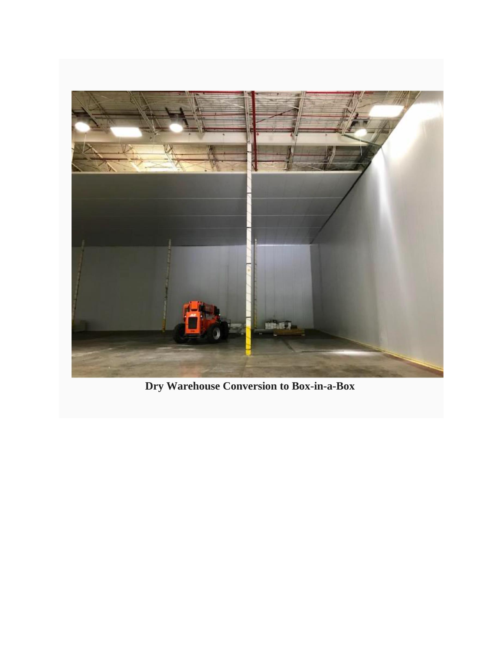

**Dry Warehouse Conversion to Box-in-a-Box**